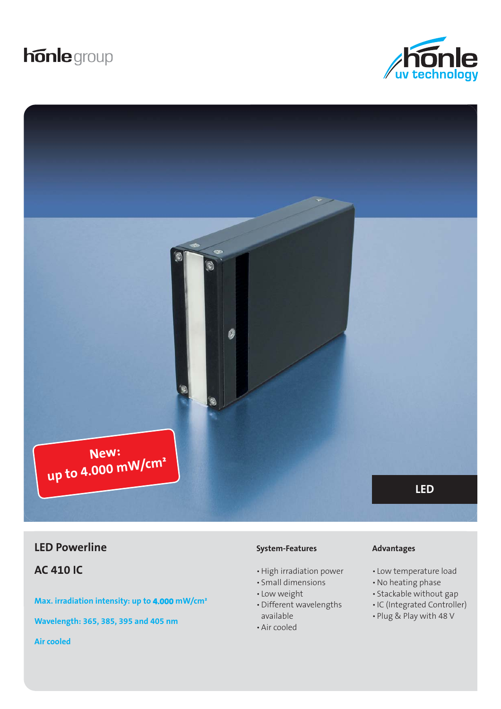# **honle** group





## **LED Powerline Advantages CED Powerline Advantages**

**AC 410 IC**

**Max. irradiation intensity: up to 4.000 mW/cm²** 

**Wavelength: 365, 385, 395 and 405 nm**

#### **System-Features**

- High irradiation power
- Small dimensions
- Low weight
- Different wavelengths available
- Air cooled

- Low temperature load
- No heating phase
- Stackable without gap
- IC (Integrated Controller)
- Plug & Play with 48 V

**Air cooled**